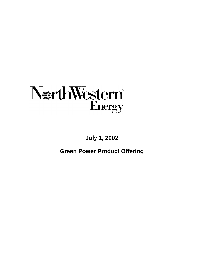

# **July 1, 2002**

**Green Power Product Offering**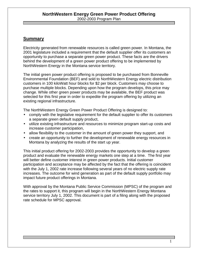### **Summary**

Electricity generated from renewable resources is called green power. In Montana, the 2001 legislature included a requirement that the default supplier offer its customers an opportunity to purchase a separate green power product. These facts are the drivers behind the development of a green power product offering to be implemented by NorthWestern Energy in the Montana service territory.

The initial green power product offering is proposed to be purchased from Bonneville Environmental Foundation (BEF) and sold to NorthWestern Energy electric distribution customers in 100 kiloWatt hour blocks for \$2 per block. Customers may choose to purchase multiple blocks. Depending upon how the program develops, this price may change. While other green power products may be available, the BEF product was selected for this first year in order to expedite the program offering by utilizing an existing regional infrastructure.

The NorthWestern Energy Green Power Product Offering is designed to:

- comply with the legislative requirement for the default supplier to offer its customers a separate green default supply product,
- utilize existing infrastructure and resources to minimize program start-up costs and increase customer participation,
- allow flexibility to the customer in the amount of green power they support, and
- create an opportunity to further the development of renewable energy resources in Montana by analyzing the results of the start up year.

This initial product offering for 2002-2003 provides the opportunity to develop a green product and evaluate the renewable energy markets one step at a time. The first year will better define customer interest in green power products. Initial customer participation and acceptance may be affected by the fact that the offering is coincident with the July 1, 2002 rate increase following several years of no electric supply rate increases. The outcome for wind generation as part of the default supply portfolio may impact future product offerings in Montana.

With approval by the Montana Public Service Commission (MPSC) of the program and the rates to support it, this program will begin in the NorthWestern Energy Montana service territory July 1, 2002. This document is part of a filing along with the proposed rate schedule for MPSC approval.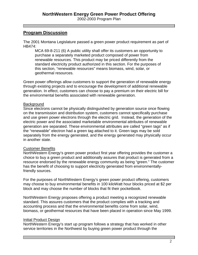### **Program Discussion**

The 2001 Montana Legislature passed a green power product requirement as part of HB474:

MCA 69-8-211 (6) A public utility shall offer its customers an opportunity to purchase a separately marketed product composed of power from renewable resources. This product may be priced differently from the standard electricity product authorized in this section. For the purposes of this section, "renewable resources" means biomass, wind, solar, or geothermal resources.

Green power offerings allow customers to support the generation of renewable energy through existing projects and to encourage the development of additional renewable generation. In effect, customers can choose to pay a premium on their electric bill for the environmental benefits associated with renewable generation.

### **Background**

Since electrons cannot be physically distinguished by generation source once flowing on the transmission and distribution system, customers cannot specifically purchase and use green power electrons through the electric grid. Instead, the generation of the electric power and the associated marketable environmental attributes of renewable generation are separated. These environmental attributes are called "green tags" as if the "renewable" electron had a green tag attached to it. Green tags may be sold separately from the energy generated, and the energy generated may physically occur in another state.

### Customer Benefits

NorthWestern Energy's green power product first year offering provides the customer a choice to buy a green product and additionally assures that product is generated from a resource endorsed by the renewable energy community as being "green." The customer has the benefit of choosing to support electricity generated from environmentallyfriendly sources.

For the purposes of NorthWestern Energy's green power product offering, customers may choose to buy environmental benefits in 100 kiloWatt hour blocks priced at \$2 per block and may choose the number of blocks that fit their pocketbook.

NorthWestern Energy proposes offering a product meeting a recognized renewable standard. This assures customers that the product complies with a tracking and accounting process and that the environmental benefits come from solar, wind, biomass, or geothermal resources that have been placed in operation since May 1999.

### Initial Product Design

NorthWestern Energy's start up program follows a strategy that has worked in other service territories in the Northwest by buying green power product through the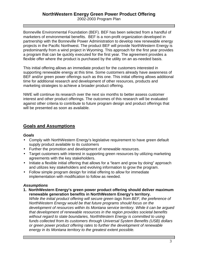Bonneville Environmental Foundation (BEF). BEF has been selected from a handful of marketers of environmental benefits. BEF is a non-profit organization developed in partnership with the Bonneville Power Administration to develop new renewable energy projects in the Pacific Northwest. The product BEF will provide NorthWestern Energy is predominantly from a wind project in Wyoming. This approach for the first year provides a program that can be quickly executed for the first year. The agreement provides a flexible offer where the product is purchased by the utility on an as-needed basis.

This initial offering allows an immediate product for the customers interested in supporting renewable energy at this time. Some customers already have awareness of BEF and/or green power offerings such as this one. This initial offering allows additional time for additional research and development of other resources, products and marketing strategies to achieve a broader product offering.

NWE will continue its research over the next six months to better assess customer interest and other product offerings. The outcomes of this research will be evaluated against other criteria to contribute to future program design and product offerings that will be presented as soon as available.

## **Goals and Assumptions**

### *Goals*

- Comply with NorthWestern Energy's legislative requirement to have green default supply product available to its customers
- Further the promotion and development of renewable resources.
- Target customers with interest in supporting green resources by utilizing marketing agreements with the key stakeholders.
- Initiate a flexible initial offering that allows for a "learn and grow by doing" approach and utilizes key stakeholders and evolving information to grow the program.
- Follow simple program design for initial offering to allow for immediate implementation with modification to follow as needed.

### *Assumptions*

**1. NorthWestern Energy's green power product offering should deliver maximum renewable generation benefits in NorthWestern Energy's territory.**

*While the initial product offering will secure green tags from BEF, the preference of NorthWestern Energy would be that future programs should focus on the development of resources within its Montana service territory. While it can be argued that development of renewable resources in the region provides societal benefits without regard to state boundaries, NorthWestern Energy is committed to using funds collected from its customers through Universal System Benefits (USB) dollars or green power product offering rates to further the development of renewable energy in its Montana territory to the greatest extent possible.*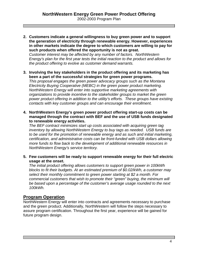**2. Customers indicate a general willingness to buy green power and to support the generation of electricity through renewable energy. However, experiences in other markets indicate the degree to which customers are willing to pay for such products when offered the opportunity is not as great.** *Customer interest may be affected by any number of factors. NorthWestern*

*Energy's plan for the first year tests the initial reaction to the product and allows for the product offering to evolve as customer demand warrants.*

**3. Involving the key stakeholders in the product offering and its marketing has been a part of the successful strategies for green power programs.**

*This proposal engages the green power advocacy groups such as the Montana Electricity Buying Cooperative (MEBC) in the green power product marketing. NorthWestern Energy will enter into supportive marketing agreements with organizations to provide incentive to the stakeholder groups to market the green power product offering in addition to the utility's efforts. These groups have existing contacts with key customer groups and can encourage their enrollment.*

**4. NorthWestern Energy's green power product offering start-up costs can be managed through the contract with BEF and the use of USB funds designated to renewable energy activities.**

*The BEF contract minimizes start up costs associated with acquiring green tag inventory by allowing NorthWestern Energy to buy tags as needed. USB funds are to be used for the promotion of renewable energy and as such and initial marketing, certification, and administrative costs can be front-funded with USB dollars allowing more funds to flow back to the development of additional renewable resources in NorthWestern Energy's service territory.*

**5. Few customers will be ready to support renewable energy for their full electric usage at the onset.**

*The initial product offering allows customers to support green power in 100kWh blocks to fit their budgets. At an estimated premium of \$0.02/kWh, a customer may select their monthly commitment to green power starting at \$2 a month. For commercial customers that wish to promote their "green" buying, the minimum will be based upon a percentage of the customer's average usage rounded to the next 100kWh.*

### **Program Operation**

NorthWestern Energy will enter into contracts and agreements necessary to purchase and the green product. Additionally, NorthWestern will follow the steps necessary to assure program certification. Throughout the first year, experience will be gained for future program design.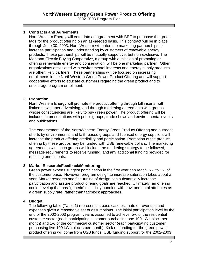### **1. Contracts and Agreements**

NorthWestern Energy will enter into an agreement with BEF to purchase the green tags for the product offering on an as-needed basis. This contract will be in place through June 30, 2003. NorthWestern will enter into marketing partnerships to increase participation and understanding by customers of renewable energy products. These partnerships will be mutually supportive, but non-exclusive. The Montana Electric Buying Cooperative, a group with a mission of promoting or offering renewable energy and conservation, will be one marketing partner. Other organizations associated with environmental interests and energy supply products are other likely partners. These partnerships will be focused on increasing enrollments in the NorthWestern Green Power Product Offering and will support cooperative efforts to educate customers regarding the green product and to encourage program enrollment.

#### **2. Promotion**

NorthWestern Energy will promote the product offering through bill inserts, with limited newspaper advertising, and through marketing agreements with groups whose constituencies are likely to buy green power. The product offering will be included in presentations with public groups, trade shows and environmental events and publications.

The endorsement of the NorthWestern Energy Green Product Offering and outreach efforts by environmental and faith-based groups and licensed energy suppliers will increase the product offering credibility and participation. Promotion of the product offering by these groups may be funded with USB renewable dollars. The marketing agreements with such groups will include the marketing strategy to be followed, the message requirements to receive funding, and any additional funding provided for resulting enrollments.

#### **3. Market Research/Feedback/Monitoring**

Green power experts suggest participation in the first year can reach .5% to 1% of the customer base. However, program design to increase saturation takes about a year. Market research and fine-tuning of design can substantially increase participation and assure product offering goals are reached. Ultimately, an offering could develop that has "generic" electricity bundled with environmental attributes as a green supply rate, rather than tag/block approaches.

### **4. Budget**

The following table (Table 1) represents a base case estimate of revenues and expenses given a reasonable set of assumptions. The initial participation level by the end of the 2002-2003 program year is assumed to achieve .5% of the residential customer sector (each participating customer purchasing one 100 kWh block per month) and 1% of the commercial customer sector (each participating customer purchasing five 100 kWh blocks per month). Kick off funding for the green power product offering will come from USB funds. USB funding support for the 2002-2003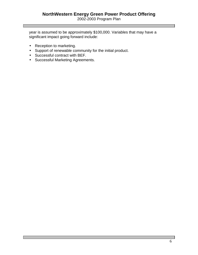2002-2003 Program Plan

year is assumed to be approximately \$100,000. Variables that may have a significant impact going forward include:

- Reception to marketing.
- Support of renewable community for the initial product.
- Successful contract with BEF.
- Successful Marketing Agreements.